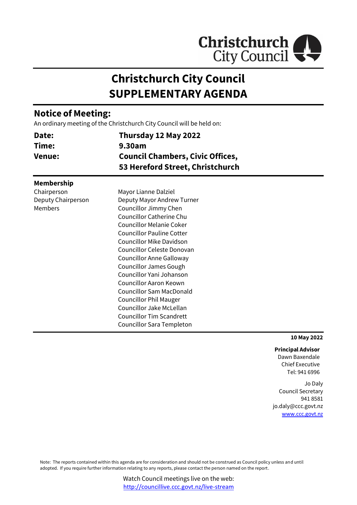

# **Christchurch City Council SUPPLEMENTARY AGENDA**

# **Notice of Meeting:**

An ordinary meeting of the Christchurch City Council will be held on:

| Date:  | Thursday 12 May 2022                    |
|--------|-----------------------------------------|
| Time:  | 9.30am                                  |
| Venue: | <b>Council Chambers, Civic Offices,</b> |
|        | 53 Hereford Street, Christchurch        |
|        |                                         |

### **Membership**

Chairperson Deputy Chairperson Members

Mayor Lianne Dalziel Deputy Mayor Andrew Turner Councillor Jimmy Chen Councillor Catherine Chu Councillor Melanie Coker Councillor Pauline Cotter Councillor Mike Davidson Councillor Celeste Donovan Councillor Anne Galloway Councillor James Gough Councillor Yani Johanson Councillor Aaron Keown Councillor Sam MacDonald Councillor Phil Mauger Councillor Jake McLellan Councillor Tim Scandrett Councillor Sara Templeton

#### **10 May 2022**

#### **Principal Advisor**

Dawn Baxendale Chief Executive Tel: 941 6996

Jo Daly Council Secretary 941 8581 jo.daly@ccc.govt.nz [www.ccc.govt.nz](http://www.ccc.govt.nz/)

Note: The reports contained within this agenda are for consideration and should not be construed as Council policy unless and until adopted. If you require further information relating to any reports, please contact the person named on the report.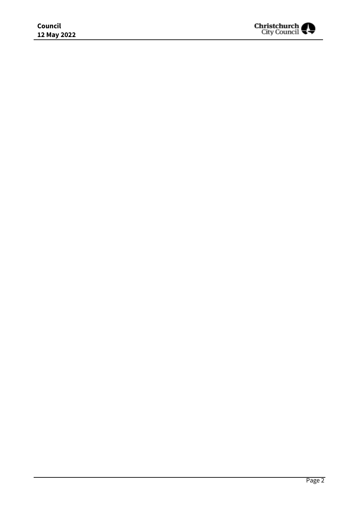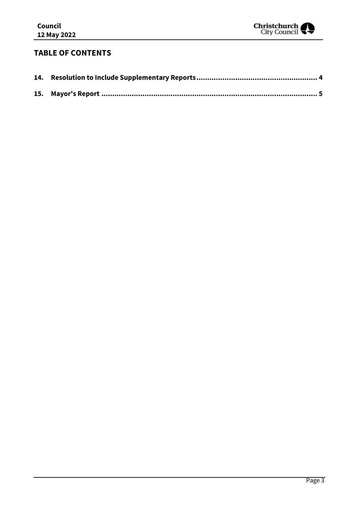

# **TABLE OF CONTENTS**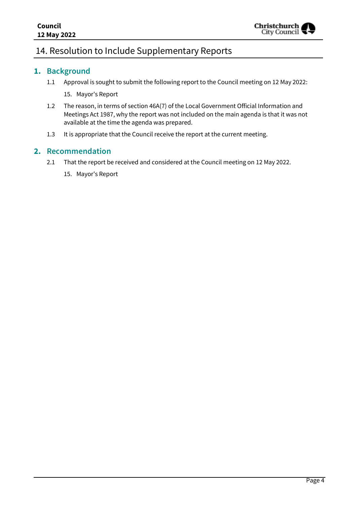# <span id="page-3-0"></span>14. Resolution to Include Supplementary Reports

### **1. Background**

- 1.1 Approval is sought to submit the following report to the Council meeting on 12 May 2022:
	- 15. Mayor's Report
- 1.2 The reason, in terms of section 46A(7) of the Local Government Official Information and Meetings Act 1987, why the report was not included on the main agenda is that it was not available at the time the agenda was prepared.
- 1.3 It is appropriate that the Council receive the report at the current meeting.

# **2. Recommendation**

- 2.1 That the report be received and considered at the Council meeting on 12 May 2022.
	- 15. Mayor's Report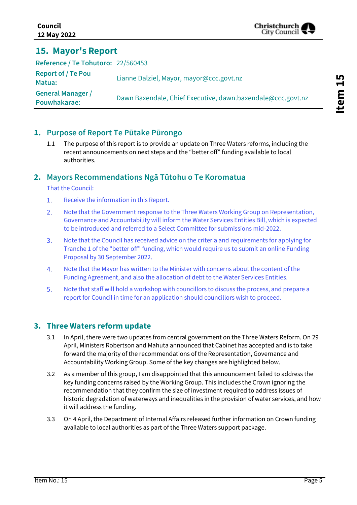# <span id="page-4-0"></span>**15. Mayor's Report**

| Reference / Te Tohutoro: 22/560453       |                                                             |
|------------------------------------------|-------------------------------------------------------------|
| <b>Report of / Te Pou</b><br>Matua:      | Lianne Dalziel, Mayor, mayor@ccc.govt.nz                    |
| <b>General Manager /</b><br>Pouwhakarae: | Dawn Baxendale, Chief Executive, dawn.baxendale@ccc.govt.nz |

# **1. Purpose of Report Te Pūtake Pūrongo**

1.1 The purpose of this report is to provide an update on Three Waters reforms, including the recent announcements on next steps and the "better off" funding available to local authorities.

### **2. Mayors Recommendations Ngā Tūtohu o Te Koromatua**

That the Council:

- Receive the information in this Report.  $1.$
- Note that the Government response to the Three Waters Working Group on Representation,  $2.$ Governance and Accountability will inform the Water Services Entities Bill, which is expected to be introduced and referred to a Select Committee for submissions mid-2022.
- Note that the Council has received advice on the criteria and requirements for applying for  $3.$ Tranche 1 of the "better off" funding, which would require us to submit an online Funding Proposal by 30 September 2022.
- 4. Note that the Mayor has written to the Minister with concerns about the content of the Funding Agreement, and also the allocation of debt to the Water Services Entities.
- 5. Note that staff will hold a workshop with councillors to discuss the process, and prepare a report for Council in time for an application should councillors wish to proceed.

### **3. Three Waters reform update**

- 3.1 In April, there were two updates from central government on the Three Waters Reform. On 29 April, Ministers Robertson and Mahuta announced that Cabinet has accepted and is to take forward the majority of the recommendations of the Representation, Governance and Accountability Working Group. Some of the key changes are highlighted below.
- 3.2 As a member of this group, I am disappointed that this announcement failed to address the key funding concerns raised by the Working Group. This includes the Crown ignoring the recommendation that they confirm the size of investment required to address issues of historic degradation of waterways and inequalities in the provision of water services, and how it will address the funding.
- 3.3 On 4 April, the Department of Internal Affairs released further information on Crown funding available to local authorities as part of the Three Waters support package.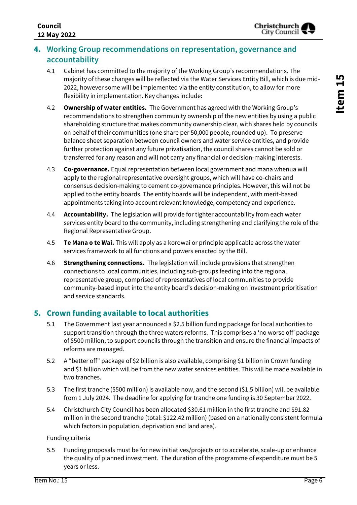# **4. Working Group recommendations on representation, governance and accountability**

- 4.1 Cabinet has committed to the majority of the Working Group's recommendations. The majority of these changes will be reflected via the Water Services Entity Bill, which is due mid-2022, however some will be implemented via the entity constitution, to allow for more flexibility in implementation. Key changes include:
- 4.2 **Ownership of water entities.** The Government has agreed with the Working Group's recommendations to strengthen community ownership of the new entities by using a public shareholding structure that makes community ownership clear, with shares held by councils on behalf of their communities (one share per 50,000 people, rounded up). To preserve balance sheet separation between council owners and water service entities, and provide further protection against any future privatisation, the council shares cannot be sold or transferred for any reason and will not carry any financial or decision-making interests.
- 4.3 **Co-governance.** Equal representation between local government and mana whenua will apply to the regional representative oversight groups, which will have co-chairs and consensus decision-making to cement co-governance principles. However, this will not be applied to the entity boards. The entity boards will be independent, with merit-based appointments taking into account relevant knowledge, competency and experience.
- 4.4 **Accountability.** The legislation will provide for tighter accountability from each water services entity board to the community, including strengthening and clarifying the role of the Regional Representative Group.
- 4.5 **Te Mana o te Wai.** This will apply as a korowai or principle applicable across the water services framework to all functions and powers enacted by the Bill.
- 4.6 **Strengthening connections.** The legislation will include provisions that strengthen connections to local communities, including sub-groups feeding into the regional representative group, comprised of representatives of local communities to provide community-based input into the entity board's decision-making on investment prioritisation and service standards.

# **5. Crown funding available to local authorities**

- 5.1 The Government last year announced a \$2.5 billion funding package for local authorities to support transition through the three waters reforms. This comprises a 'no worse off' package of \$500 million, to support councils through the transition and ensure the financial impacts of reforms are managed.
- 5.2 A "better off" package of \$2 billion is also available, comprising \$1 billion in Crown funding and \$1 billion which will be from the new water services entities. This will be made available in two tranches.
- 5.3 The first tranche (\$500 million) is available now, and the second (\$1.5 billion) will be available from 1 July 2024. The deadline for applying for tranche one funding is 30 September 2022.
- 5.4 Christchurch City Council has been allocated \$30.61 million in the first tranche and \$91.82 million in the second tranche (total: \$122.42 million) (based on a nationally consistent formula which factors in population, deprivation and land area).

### Funding criteria

5.5 Funding proposals must be for new initiatives/projects or to accelerate, scale-up or enhance the quality of planned investment. The duration of the programme of expenditure must be 5 years or less.

**Item 15**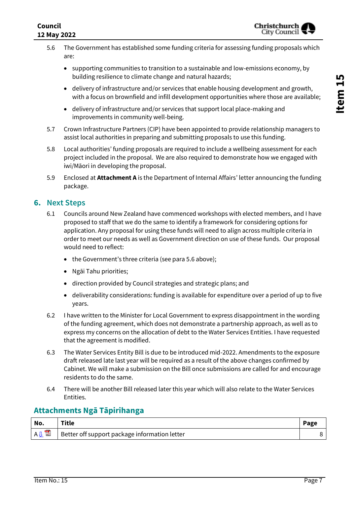### **Council 12 May 2022**

- 5.6 The Government has established some funding criteria for assessing funding proposals which are:
	- supporting communities to transition to a sustainable and low-emissions economy, by building resilience to climate change and natural hazards;
	- delivery of infrastructure and/or services that enable housing development and growth, with a focus on brownfield and infill development opportunities where those are available;
	- delivery of infrastructure and/or services that support local place-making and improvements in community well-being.
- 5.7 Crown Infrastructure Partners (CIP) have been appointed to provide relationship managers to assist local authorities in preparing and submitting proposals to use this funding.
- 5.8 Local authorities' funding proposals are required to include a wellbeing assessment for each project included in the proposal. We are also required to demonstrate how we engaged with iwi/Māori in developing the proposal.
- 5.9 Enclosed at **Attachment A** is the Department of Internal Affairs' letter announcing the funding package.

# **6. Next Steps**

- 6.1 Councils around New Zealand have commenced workshops with elected members, and I have proposed to staff that we do the same to identify a framework for considering options for application. Any proposal for using these funds will need to align across multiple criteria in order to meet our needs as well as Government direction on use of these funds. Our proposal would need to reflect:
	- the Government's three criteria (see para 5.6 above);
	- Ngāi Tahu priorities;
	- direction provided by Council strategies and strategic plans; and
	- deliverability considerations: funding is available for expenditure over a period of up to five years.
- 6.2 I have written to the Minister for Local Government to express disappointment in the wording of the funding agreement, which does not demonstrate a partnership approach, as well as to express my concerns on the allocation of debt to the Water Services Entities. I have requested that the agreement is modified.
- 6.3 The Water Services Entity Bill is due to be introduced mid-2022. Amendments to the exposure draft released late last year will be required as a result of the above changes confirmed by Cabinet. We will make a submission on the Bill once submissions are called for and encourage residents to do the same.
- 6.4 There will be another Bill released later this year which will also relate to the Water Services Entities.

# **Attachments Ngā Tāpirihanga**

| No. | Title                                         | Page |
|-----|-----------------------------------------------|------|
| A U | Better off support package information letter |      |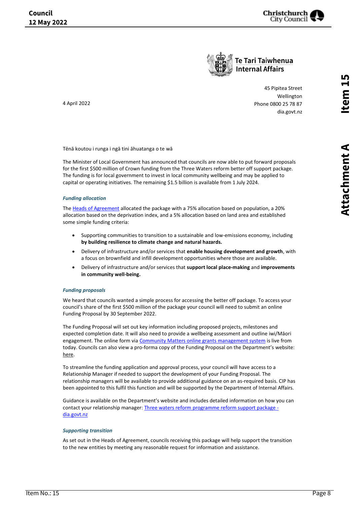

45 Pipitea Street Wellington Phone 0800 25 78 87 dia.govt.nz

<span id="page-7-0"></span>4 April 2022

Tēnā koutou i runga i ngā tini āhuatanga o te wā

The Minister of Local Government has announced that councils are now able to put forward proposals for the first \$500 million of Crown funding from the Three Waters reform better off support package. The funding is for local government to invest in local community wellbeing and may be applied to capital or operating initiatives. The remaining \$1.5 billion is available from 1 July 2024.

#### *Funding allocation*

The Heads of Agreement allocated the package with a 75% allocation based on population, a 20% allocation based on the deprivation index, and a 5% allocation based on land area and established some simple funding criteria:

- Supporting communities to transition to a sustainable and low -emissions economy, including **by building resilience to climate change and natural hazards.**
- Delivery of infrastructure and/or services that **enable housing development and growth**, with a focus on brownfield and infill development opportunities where those are available.
- Delivery of infrastructure and/or services that **support local place -making** and **improvements in community well -being.**

#### *Funding proposals*

We heard that councils wanted a simple process for accessing the better off package. To access your council's share of the first \$500 million of the package your council will need to submit an online Funding Proposal by 30 September 2022.

The Funding Proposal will set out key information including proposed projects, milestones and expected completion date. It will also need to provide a wellbeing assessment and outline iwi/Māori engagement. The online form via Community Matters online grants management system is live from today. Councils can also view a pro-forma copy of the Funding Proposal on the Department's website: here.

To streamline the funding application and approval process, your council will have access to a Relationship Manager if needed to support the development of your Funding Proposal. The relationship managers will be available to provide additional guidance on an as -required basis. CIP has been appointed to this fulfil this function and will be supported by the Department of Internal Affairs.

Guidance is available on the Department's website and includes detailed information on how you can contact your relationship manager: Three waters reform programme reform support package dia.govt.nz

#### *Supporting transition*

As set out in the Heads of Agreement, councils receiving this package will help support the transition to the new entities by meeting any reasonable request for information and assistance.